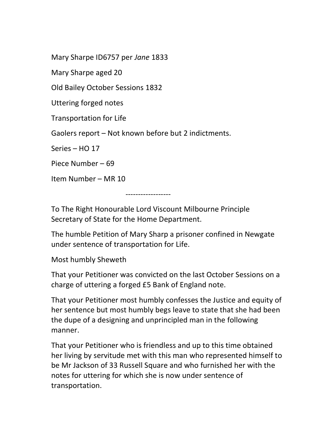Mary Sharpe ID6757 per Jane 1833

Mary Sharpe aged 20

Old Bailey October Sessions 1832

Uttering forged notes

Transportation for Life

Gaolers report – Not known before but 2 indictments.

Series – HO 17

Piece Number – 69

Item Number – MR 10

------------------

To The Right Honourable Lord Viscount Milbourne Principle Secretary of State for the Home Department.

The humble Petition of Mary Sharp a prisoner confined in Newgate under sentence of transportation for Life.

Most humbly Sheweth

That your Petitioner was convicted on the last October Sessions on a charge of uttering a forged £5 Bank of England note.

That your Petitioner most humbly confesses the Justice and equity of her sentence but most humbly begs leave to state that she had been the dupe of a designing and unprincipled man in the following manner.

That your Petitioner who is friendless and up to this time obtained her living by servitude met with this man who represented himself to be Mr Jackson of 33 Russell Square and who furnished her with the notes for uttering for which she is now under sentence of transportation.